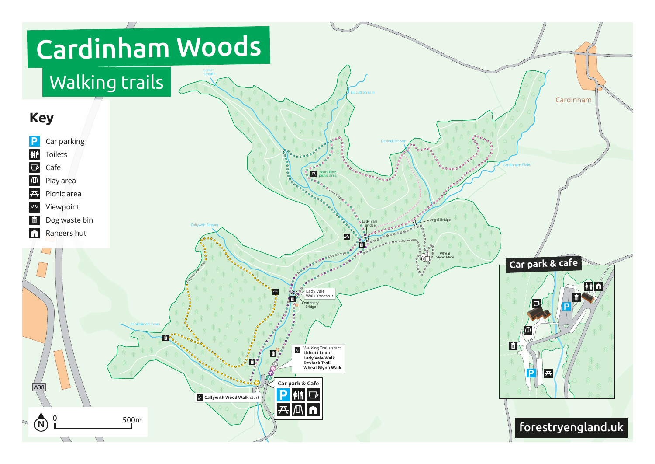